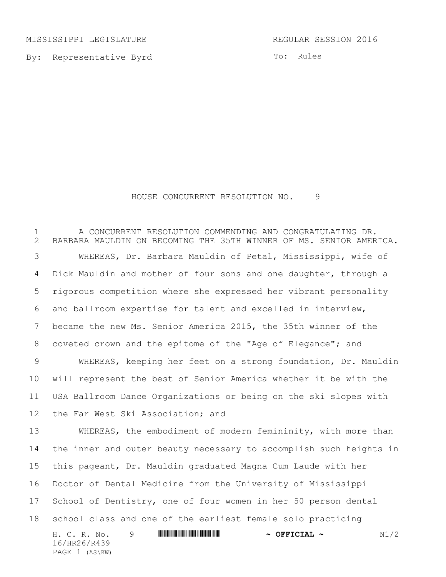MISSISSIPPI LEGISLATURE REGULAR SESSION 2016

By: Representative Byrd

To: Rules

## HOUSE CONCURRENT RESOLUTION NO. 9

H. C. R. No. 9 \*HR26/R439\* **~ OFFICIAL ~** N1/2 16/HR26/R439 PAGE 1 (AS\KW) A CONCURRENT RESOLUTION COMMENDING AND CONGRATULATING DR. BARBARA MAULDIN ON BECOMING THE 35TH WINNER OF MS. SENIOR AMERICA. WHEREAS, Dr. Barbara Mauldin of Petal, Mississippi, wife of Dick Mauldin and mother of four sons and one daughter, through a rigorous competition where she expressed her vibrant personality and ballroom expertise for talent and excelled in interview, became the new Ms. Senior America 2015, the 35th winner of the coveted crown and the epitome of the "Age of Elegance"; and WHEREAS, keeping her feet on a strong foundation, Dr. Mauldin will represent the best of Senior America whether it be with the USA Ballroom Dance Organizations or being on the ski slopes with the Far West Ski Association; and WHEREAS, the embodiment of modern femininity, with more than the inner and outer beauty necessary to accomplish such heights in this pageant, Dr. Mauldin graduated Magna Cum Laude with her Doctor of Dental Medicine from the University of Mississippi School of Dentistry, one of four women in her 50 person dental school class and one of the earliest female solo practicing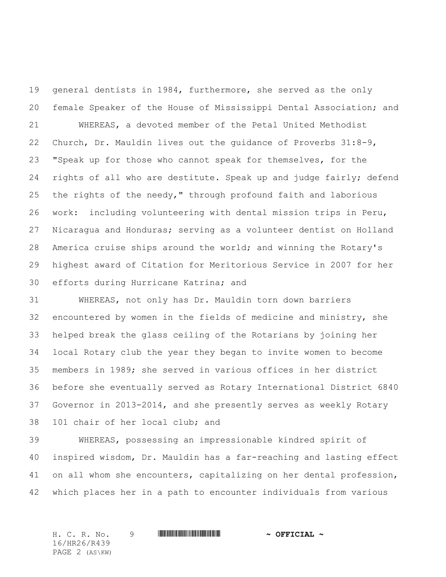general dentists in 1984, furthermore, she served as the only female Speaker of the House of Mississippi Dental Association; and WHEREAS, a devoted member of the Petal United Methodist Church, Dr. Mauldin lives out the guidance of Proverbs 31:8-9, "Speak up for those who cannot speak for themselves, for the 24 rights of all who are destitute. Speak up and judge fairly; defend the rights of the needy," through profound faith and laborious work: including volunteering with dental mission trips in Peru, Nicaragua and Honduras; serving as a volunteer dentist on Holland America cruise ships around the world; and winning the Rotary's highest award of Citation for Meritorious Service in 2007 for her efforts during Hurricane Katrina; and

 WHEREAS, not only has Dr. Mauldin torn down barriers encountered by women in the fields of medicine and ministry, she helped break the glass ceiling of the Rotarians by joining her local Rotary club the year they began to invite women to become members in 1989; she served in various offices in her district before she eventually served as Rotary International District 6840 Governor in 2013-2014, and she presently serves as weekly Rotary 101 chair of her local club; and

 WHEREAS, possessing an impressionable kindred spirit of inspired wisdom, Dr. Mauldin has a far-reaching and lasting effect on all whom she encounters, capitalizing on her dental profession, which places her in a path to encounter individuals from various

H. C. R. No. 9 **WILL BEET ALL AND A SEPT CIAL ~** 16/HR26/R439 PAGE 2 (AS\KW)